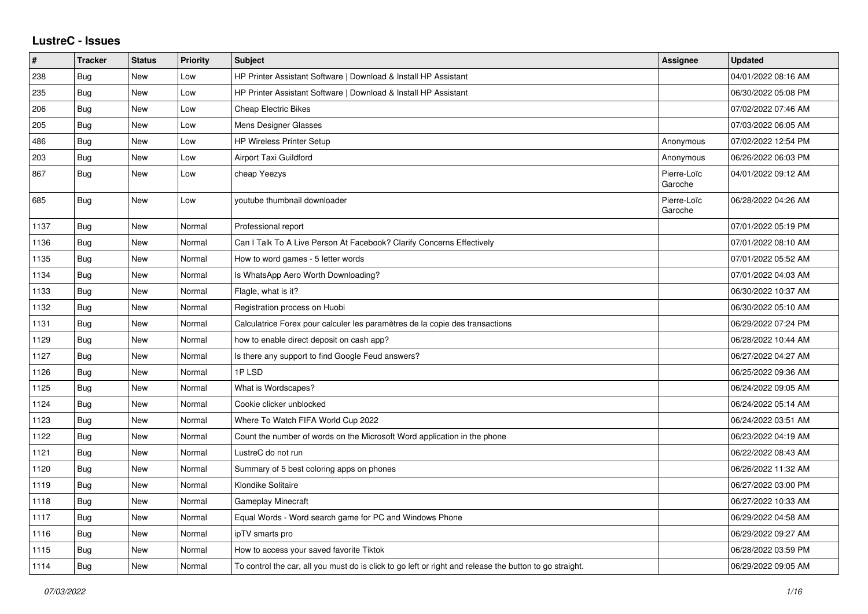## **LustreC - Issues**

| #    | <b>Tracker</b> | <b>Status</b> | <b>Priority</b> | <b>Subject</b>                                                                                          | Assignee               | <b>Updated</b>      |
|------|----------------|---------------|-----------------|---------------------------------------------------------------------------------------------------------|------------------------|---------------------|
| 238  | Bug            | New           | Low             | HP Printer Assistant Software   Download & Install HP Assistant                                         |                        | 04/01/2022 08:16 AM |
| 235  | <b>Bug</b>     | <b>New</b>    | Low             | HP Printer Assistant Software   Download & Install HP Assistant                                         |                        | 06/30/2022 05:08 PM |
| 206  | Bug            | New           | Low             | <b>Cheap Electric Bikes</b>                                                                             |                        | 07/02/2022 07:46 AM |
| 205  | Bug            | New           | Low             | Mens Designer Glasses                                                                                   |                        | 07/03/2022 06:05 AM |
| 486  | Bug            | New           | Low             | <b>HP Wireless Printer Setup</b>                                                                        | Anonymous              | 07/02/2022 12:54 PM |
| 203  | <b>Bug</b>     | New           | Low             | Airport Taxi Guildford                                                                                  | Anonymous              | 06/26/2022 06:03 PM |
| 867  | <b>Bug</b>     | New           | Low             | cheap Yeezys                                                                                            | Pierre-Loïc<br>Garoche | 04/01/2022 09:12 AM |
| 685  | Bug            | New           | Low             | voutube thumbnail downloader                                                                            | Pierre-Loïc<br>Garoche | 06/28/2022 04:26 AM |
| 1137 | Bug            | New           | Normal          | Professional report                                                                                     |                        | 07/01/2022 05:19 PM |
| 1136 | Bug            | <b>New</b>    | Normal          | Can I Talk To A Live Person At Facebook? Clarify Concerns Effectively                                   |                        | 07/01/2022 08:10 AM |
| 1135 | Bug            | New           | Normal          | How to word games - 5 letter words                                                                      |                        | 07/01/2022 05:52 AM |
| 1134 | Bug            | New           | Normal          | Is WhatsApp Aero Worth Downloading?                                                                     |                        | 07/01/2022 04:03 AM |
| 1133 | <b>Bug</b>     | New           | Normal          | Flagle, what is it?                                                                                     |                        | 06/30/2022 10:37 AM |
| 1132 | Bug            | New           | Normal          | Registration process on Huobi                                                                           |                        | 06/30/2022 05:10 AM |
| 1131 | Bug            | New           | Normal          | Calculatrice Forex pour calculer les paramètres de la copie des transactions                            |                        | 06/29/2022 07:24 PM |
| 1129 | <b>Bug</b>     | <b>New</b>    | Normal          | how to enable direct deposit on cash app?                                                               |                        | 06/28/2022 10:44 AM |
| 1127 | Bug            | <b>New</b>    | Normal          | Is there any support to find Google Feud answers?                                                       |                        | 06/27/2022 04:27 AM |
| 1126 | Bug            | New           | Normal          | 1PLSD                                                                                                   |                        | 06/25/2022 09:36 AM |
| 1125 | Bug            | New           | Normal          | What is Wordscapes?                                                                                     |                        | 06/24/2022 09:05 AM |
| 1124 | Bug            | New           | Normal          | Cookie clicker unblocked                                                                                |                        | 06/24/2022 05:14 AM |
| 1123 | Bug            | New           | Normal          | Where To Watch FIFA World Cup 2022                                                                      |                        | 06/24/2022 03:51 AM |
| 1122 | <b>Bug</b>     | New           | Normal          | Count the number of words on the Microsoft Word application in the phone                                |                        | 06/23/2022 04:19 AM |
| 1121 | <b>Bug</b>     | New           | Normal          | LustreC do not run                                                                                      |                        | 06/22/2022 08:43 AM |
| 1120 | Bug            | New           | Normal          | Summary of 5 best coloring apps on phones                                                               |                        | 06/26/2022 11:32 AM |
| 1119 | Bug            | New           | Normal          | Klondike Solitaire                                                                                      |                        | 06/27/2022 03:00 PM |
| 1118 | Bug            | New           | Normal          | <b>Gameplay Minecraft</b>                                                                               |                        | 06/27/2022 10:33 AM |
| 1117 | <b>Bug</b>     | <b>New</b>    | Normal          | Equal Words - Word search game for PC and Windows Phone                                                 |                        | 06/29/2022 04:58 AM |
| 1116 | Bug            | New           | Normal          | ipTV smarts pro                                                                                         |                        | 06/29/2022 09:27 AM |
| 1115 | Bug            | New           | Normal          | How to access your saved favorite Tiktok                                                                |                        | 06/28/2022 03:59 PM |
| 1114 | <b>Bug</b>     | <b>New</b>    | Normal          | To control the car, all you must do is click to go left or right and release the button to go straight. |                        | 06/29/2022 09:05 AM |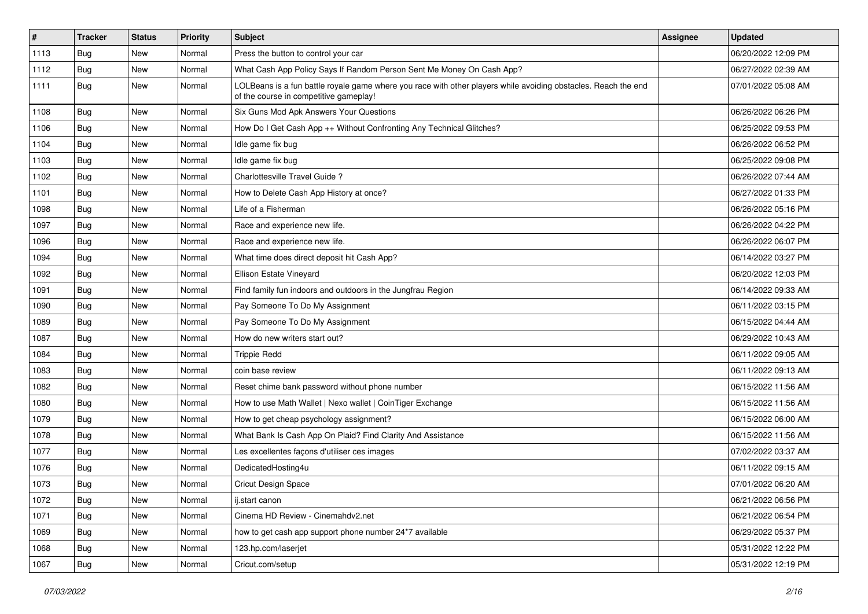| $\vert$ # | <b>Tracker</b> | <b>Status</b> | <b>Priority</b> | Subject                                                                                                                                                  | <b>Assignee</b> | <b>Updated</b>      |
|-----------|----------------|---------------|-----------------|----------------------------------------------------------------------------------------------------------------------------------------------------------|-----------------|---------------------|
| 1113      | Bug            | New           | Normal          | Press the button to control your car                                                                                                                     |                 | 06/20/2022 12:09 PM |
| 1112      | Bug            | New           | Normal          | What Cash App Policy Says If Random Person Sent Me Money On Cash App?                                                                                    |                 | 06/27/2022 02:39 AM |
| 1111      | Bug            | New           | Normal          | LOLBeans is a fun battle royale game where you race with other players while avoiding obstacles. Reach the end<br>of the course in competitive gameplay! |                 | 07/01/2022 05:08 AM |
| 1108      | Bug            | <b>New</b>    | Normal          | Six Guns Mod Apk Answers Your Questions                                                                                                                  |                 | 06/26/2022 06:26 PM |
| 1106      | Bug            | New           | Normal          | How Do I Get Cash App ++ Without Confronting Any Technical Glitches?                                                                                     |                 | 06/25/2022 09:53 PM |
| 1104      | Bug            | New           | Normal          | Idle game fix bug                                                                                                                                        |                 | 06/26/2022 06:52 PM |
| 1103      | Bug            | New           | Normal          | Idle game fix bug                                                                                                                                        |                 | 06/25/2022 09:08 PM |
| 1102      | Bug            | New           | Normal          | Charlottesville Travel Guide?                                                                                                                            |                 | 06/26/2022 07:44 AM |
| 1101      | Bug            | New           | Normal          | How to Delete Cash App History at once?                                                                                                                  |                 | 06/27/2022 01:33 PM |
| 1098      | <b>Bug</b>     | New           | Normal          | Life of a Fisherman                                                                                                                                      |                 | 06/26/2022 05:16 PM |
| 1097      | Bug            | New           | Normal          | Race and experience new life.                                                                                                                            |                 | 06/26/2022 04:22 PM |
| 1096      | Bug            | New           | Normal          | Race and experience new life.                                                                                                                            |                 | 06/26/2022 06:07 PM |
| 1094      | Bug            | New           | Normal          | What time does direct deposit hit Cash App?                                                                                                              |                 | 06/14/2022 03:27 PM |
| 1092      | <b>Bug</b>     | New           | Normal          | Ellison Estate Vineyard                                                                                                                                  |                 | 06/20/2022 12:03 PM |
| 1091      | Bug            | New           | Normal          | Find family fun indoors and outdoors in the Jungfrau Region                                                                                              |                 | 06/14/2022 09:33 AM |
| 1090      | <b>Bug</b>     | New           | Normal          | Pay Someone To Do My Assignment                                                                                                                          |                 | 06/11/2022 03:15 PM |
| 1089      | Bug            | New           | Normal          | Pay Someone To Do My Assignment                                                                                                                          |                 | 06/15/2022 04:44 AM |
| 1087      | Bug            | New           | Normal          | How do new writers start out?                                                                                                                            |                 | 06/29/2022 10:43 AM |
| 1084      | <b>Bug</b>     | New           | Normal          | <b>Trippie Redd</b>                                                                                                                                      |                 | 06/11/2022 09:05 AM |
| 1083      | Bug            | New           | Normal          | coin base review                                                                                                                                         |                 | 06/11/2022 09:13 AM |
| 1082      | Bug            | New           | Normal          | Reset chime bank password without phone number                                                                                                           |                 | 06/15/2022 11:56 AM |
| 1080      | Bug            | New           | Normal          | How to use Math Wallet   Nexo wallet   CoinTiger Exchange                                                                                                |                 | 06/15/2022 11:56 AM |
| 1079      | <b>Bug</b>     | New           | Normal          | How to get cheap psychology assignment?                                                                                                                  |                 | 06/15/2022 06:00 AM |
| 1078      | <b>Bug</b>     | New           | Normal          | What Bank Is Cash App On Plaid? Find Clarity And Assistance                                                                                              |                 | 06/15/2022 11:56 AM |
| 1077      | Bug            | New           | Normal          | Les excellentes façons d'utiliser ces images                                                                                                             |                 | 07/02/2022 03:37 AM |
| 1076      | <b>Bug</b>     | New           | Normal          | DedicatedHosting4u                                                                                                                                       |                 | 06/11/2022 09:15 AM |
| 1073      | <b>Bug</b>     | New           | Normal          | <b>Cricut Design Space</b>                                                                                                                               |                 | 07/01/2022 06:20 AM |
| 1072      | Bug            | New           | Normal          | ij.start canon                                                                                                                                           |                 | 06/21/2022 06:56 PM |
| 1071      | Bug            | New           | Normal          | Cinema HD Review - Cinemahdv2.net                                                                                                                        |                 | 06/21/2022 06:54 PM |
| 1069      | Bug            | New           | Normal          | how to get cash app support phone number 24*7 available                                                                                                  |                 | 06/29/2022 05:37 PM |
| 1068      | Bug            | New           | Normal          | 123.hp.com/laserjet                                                                                                                                      |                 | 05/31/2022 12:22 PM |
| 1067      | Bug            | New           | Normal          | Cricut.com/setup                                                                                                                                         |                 | 05/31/2022 12:19 PM |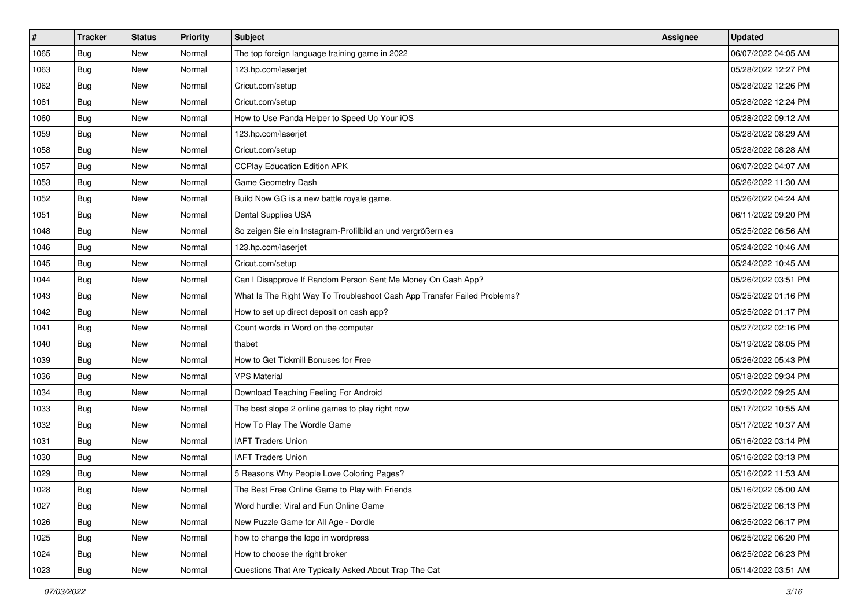| $\vert$ # | <b>Tracker</b> | <b>Status</b> | <b>Priority</b> | Subject                                                                  | <b>Assignee</b> | <b>Updated</b>      |
|-----------|----------------|---------------|-----------------|--------------------------------------------------------------------------|-----------------|---------------------|
| 1065      | <b>Bug</b>     | New           | Normal          | The top foreign language training game in 2022                           |                 | 06/07/2022 04:05 AM |
| 1063      | Bug            | New           | Normal          | 123.hp.com/laserjet                                                      |                 | 05/28/2022 12:27 PM |
| 1062      | Bug            | New           | Normal          | Cricut.com/setup                                                         |                 | 05/28/2022 12:26 PM |
| 1061      | <b>Bug</b>     | New           | Normal          | Cricut.com/setup                                                         |                 | 05/28/2022 12:24 PM |
| 1060      | Bug            | New           | Normal          | How to Use Panda Helper to Speed Up Your iOS                             |                 | 05/28/2022 09:12 AM |
| 1059      | <b>Bug</b>     | New           | Normal          | 123.hp.com/laserjet                                                      |                 | 05/28/2022 08:29 AM |
| 1058      | Bug            | New           | Normal          | Cricut.com/setup                                                         |                 | 05/28/2022 08:28 AM |
| 1057      | <b>Bug</b>     | New           | Normal          | <b>CCPlay Education Edition APK</b>                                      |                 | 06/07/2022 04:07 AM |
| 1053      | Bug            | New           | Normal          | Game Geometry Dash                                                       |                 | 05/26/2022 11:30 AM |
| 1052      | Bug            | New           | Normal          | Build Now GG is a new battle royale game.                                |                 | 05/26/2022 04:24 AM |
| 1051      | Bug            | New           | Normal          | Dental Supplies USA                                                      |                 | 06/11/2022 09:20 PM |
| 1048      | Bug            | New           | Normal          | So zeigen Sie ein Instagram-Profilbild an und vergrößern es              |                 | 05/25/2022 06:56 AM |
| 1046      | Bug            | New           | Normal          | 123.hp.com/laserjet                                                      |                 | 05/24/2022 10:46 AM |
| 1045      | Bug            | New           | Normal          | Cricut.com/setup                                                         |                 | 05/24/2022 10:45 AM |
| 1044      | Bug            | New           | Normal          | Can I Disapprove If Random Person Sent Me Money On Cash App?             |                 | 05/26/2022 03:51 PM |
| 1043      | Bug            | New           | Normal          | What Is The Right Way To Troubleshoot Cash App Transfer Failed Problems? |                 | 05/25/2022 01:16 PM |
| 1042      | <b>Bug</b>     | New           | Normal          | How to set up direct deposit on cash app?                                |                 | 05/25/2022 01:17 PM |
| 1041      | Bug            | New           | Normal          | Count words in Word on the computer                                      |                 | 05/27/2022 02:16 PM |
| 1040      | <b>Bug</b>     | New           | Normal          | thabet                                                                   |                 | 05/19/2022 08:05 PM |
| 1039      | <b>Bug</b>     | New           | Normal          | How to Get Tickmill Bonuses for Free                                     |                 | 05/26/2022 05:43 PM |
| 1036      | <b>Bug</b>     | New           | Normal          | <b>VPS Material</b>                                                      |                 | 05/18/2022 09:34 PM |
| 1034      | Bug            | New           | Normal          | Download Teaching Feeling For Android                                    |                 | 05/20/2022 09:25 AM |
| 1033      | Bug            | New           | Normal          | The best slope 2 online games to play right now                          |                 | 05/17/2022 10:55 AM |
| 1032      | Bug            | New           | Normal          | How To Play The Wordle Game                                              |                 | 05/17/2022 10:37 AM |
| 1031      | Bug            | New           | Normal          | <b>IAFT Traders Union</b>                                                |                 | 05/16/2022 03:14 PM |
| 1030      | Bug            | New           | Normal          | <b>IAFT Traders Union</b>                                                |                 | 05/16/2022 03:13 PM |
| 1029      | <b>Bug</b>     | New           | Normal          | 5 Reasons Why People Love Coloring Pages?                                |                 | 05/16/2022 11:53 AM |
| 1028      | <b>Bug</b>     | New           | Normal          | The Best Free Online Game to Play with Friends                           |                 | 05/16/2022 05:00 AM |
| 1027      | Bug            | New           | Normal          | Word hurdle: Viral and Fun Online Game                                   |                 | 06/25/2022 06:13 PM |
| 1026      | <b>Bug</b>     | New           | Normal          | New Puzzle Game for All Age - Dordle                                     |                 | 06/25/2022 06:17 PM |
| 1025      | Bug            | New           | Normal          | how to change the logo in wordpress                                      |                 | 06/25/2022 06:20 PM |
| 1024      | <b>Bug</b>     | New           | Normal          | How to choose the right broker                                           |                 | 06/25/2022 06:23 PM |
| 1023      | Bug            | New           | Normal          | Questions That Are Typically Asked About Trap The Cat                    |                 | 05/14/2022 03:51 AM |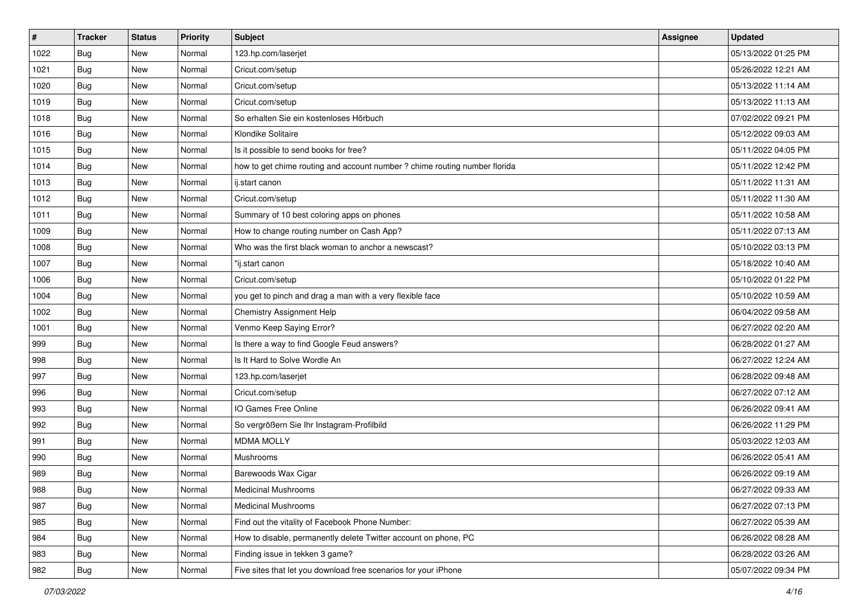| $\vert$ # | <b>Tracker</b> | <b>Status</b> | <b>Priority</b> | Subject                                                                    | <b>Assignee</b> | <b>Updated</b>      |
|-----------|----------------|---------------|-----------------|----------------------------------------------------------------------------|-----------------|---------------------|
| 1022      | <b>Bug</b>     | New           | Normal          | 123.hp.com/laserjet                                                        |                 | 05/13/2022 01:25 PM |
| 1021      | Bug            | New           | Normal          | Cricut.com/setup                                                           |                 | 05/26/2022 12:21 AM |
| 1020      | Bug            | New           | Normal          | Cricut.com/setup                                                           |                 | 05/13/2022 11:14 AM |
| 1019      | <b>Bug</b>     | New           | Normal          | Cricut.com/setup                                                           |                 | 05/13/2022 11:13 AM |
| 1018      | Bug            | <b>New</b>    | Normal          | So erhalten Sie ein kostenloses Hörbuch                                    |                 | 07/02/2022 09:21 PM |
| 1016      | Bug            | New           | Normal          | Klondike Solitaire                                                         |                 | 05/12/2022 09:03 AM |
| 1015      | Bug            | New           | Normal          | Is it possible to send books for free?                                     |                 | 05/11/2022 04:05 PM |
| 1014      | Bug            | New           | Normal          | how to get chime routing and account number ? chime routing number florida |                 | 05/11/2022 12:42 PM |
| 1013      | Bug            | New           | Normal          | ij.start canon                                                             |                 | 05/11/2022 11:31 AM |
| 1012      | Bug            | <b>New</b>    | Normal          | Cricut.com/setup                                                           |                 | 05/11/2022 11:30 AM |
| 1011      | Bug            | New           | Normal          | Summary of 10 best coloring apps on phones                                 |                 | 05/11/2022 10:58 AM |
| 1009      | Bug            | New           | Normal          | How to change routing number on Cash App?                                  |                 | 05/11/2022 07:13 AM |
| 1008      | Bug            | <b>New</b>    | Normal          | Who was the first black woman to anchor a newscast?                        |                 | 05/10/2022 03:13 PM |
| 1007      | Bug            | New           | Normal          | "ij.start canon                                                            |                 | 05/18/2022 10:40 AM |
| 1006      | Bug            | New           | Normal          | Cricut.com/setup                                                           |                 | 05/10/2022 01:22 PM |
| 1004      | Bug            | New           | Normal          | you get to pinch and drag a man with a very flexible face                  |                 | 05/10/2022 10:59 AM |
| 1002      | <b>Bug</b>     | New           | Normal          | <b>Chemistry Assignment Help</b>                                           |                 | 06/04/2022 09:58 AM |
| 1001      | Bug            | <b>New</b>    | Normal          | Venmo Keep Saying Error?                                                   |                 | 06/27/2022 02:20 AM |
| 999       | <b>Bug</b>     | New           | Normal          | Is there a way to find Google Feud answers?                                |                 | 06/28/2022 01:27 AM |
| 998       | <b>Bug</b>     | New           | Normal          | Is It Hard to Solve Wordle An                                              |                 | 06/27/2022 12:24 AM |
| 997       | Bug            | New           | Normal          | 123.hp.com/laserjet                                                        |                 | 06/28/2022 09:48 AM |
| 996       | <b>Bug</b>     | New           | Normal          | Cricut.com/setup                                                           |                 | 06/27/2022 07:12 AM |
| 993       | Bug            | <b>New</b>    | Normal          | IO Games Free Online                                                       |                 | 06/26/2022 09:41 AM |
| 992       | Bug            | New           | Normal          | So vergrößern Sie Ihr Instagram-Profilbild                                 |                 | 06/26/2022 11:29 PM |
| 991       | Bug            | New           | Normal          | <b>MDMA MOLLY</b>                                                          |                 | 05/03/2022 12:03 AM |
| 990       | Bug            | New           | Normal          | Mushrooms                                                                  |                 | 06/26/2022 05:41 AM |
| 989       | <b>Bug</b>     | New           | Normal          | Barewoods Wax Cigar                                                        |                 | 06/26/2022 09:19 AM |
| 988       | <b>Bug</b>     | New           | Normal          | <b>Medicinal Mushrooms</b>                                                 |                 | 06/27/2022 09:33 AM |
| 987       | Bug            | New           | Normal          | <b>Medicinal Mushrooms</b>                                                 |                 | 06/27/2022 07:13 PM |
| 985       | <b>Bug</b>     | New           | Normal          | Find out the vitality of Facebook Phone Number:                            |                 | 06/27/2022 05:39 AM |
| 984       | <b>Bug</b>     | New           | Normal          | How to disable, permanently delete Twitter account on phone, PC            |                 | 06/26/2022 08:28 AM |
| 983       | <b>Bug</b>     | New           | Normal          | Finding issue in tekken 3 game?                                            |                 | 06/28/2022 03:26 AM |
| 982       | <b>Bug</b>     | New           | Normal          | Five sites that let you download free scenarios for your iPhone            |                 | 05/07/2022 09:34 PM |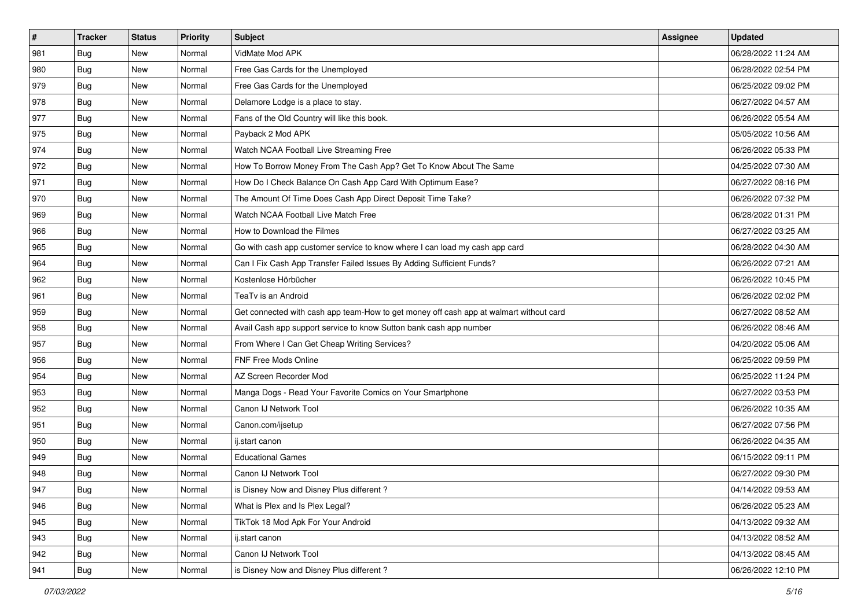| $\sharp$ | <b>Tracker</b> | <b>Status</b> | <b>Priority</b> | Subject                                                                                | <b>Assignee</b> | <b>Updated</b>      |
|----------|----------------|---------------|-----------------|----------------------------------------------------------------------------------------|-----------------|---------------------|
| 981      | <b>Bug</b>     | New           | Normal          | VidMate Mod APK                                                                        |                 | 06/28/2022 11:24 AM |
| 980      | Bug            | <b>New</b>    | Normal          | Free Gas Cards for the Unemployed                                                      |                 | 06/28/2022 02:54 PM |
| 979      | Bug            | New           | Normal          | Free Gas Cards for the Unemployed                                                      |                 | 06/25/2022 09:02 PM |
| 978      | <b>Bug</b>     | New           | Normal          | Delamore Lodge is a place to stay.                                                     |                 | 06/27/2022 04:57 AM |
| 977      | Bug            | New           | Normal          | Fans of the Old Country will like this book.                                           |                 | 06/26/2022 05:54 AM |
| 975      | <b>Bug</b>     | New           | Normal          | Payback 2 Mod APK                                                                      |                 | 05/05/2022 10:56 AM |
| 974      | Bug            | New           | Normal          | Watch NCAA Football Live Streaming Free                                                |                 | 06/26/2022 05:33 PM |
| 972      | <b>Bug</b>     | New           | Normal          | How To Borrow Money From The Cash App? Get To Know About The Same                      |                 | 04/25/2022 07:30 AM |
| 971      | <b>Bug</b>     | New           | Normal          | How Do I Check Balance On Cash App Card With Optimum Ease?                             |                 | 06/27/2022 08:16 PM |
| 970      | Bug            | <b>New</b>    | Normal          | The Amount Of Time Does Cash App Direct Deposit Time Take?                             |                 | 06/26/2022 07:32 PM |
| 969      | <b>Bug</b>     | New           | Normal          | Watch NCAA Football Live Match Free                                                    |                 | 06/28/2022 01:31 PM |
| 966      | <b>Bug</b>     | New           | Normal          | How to Download the Filmes                                                             |                 | 06/27/2022 03:25 AM |
| 965      | Bug            | New           | Normal          | Go with cash app customer service to know where I can load my cash app card            |                 | 06/28/2022 04:30 AM |
| 964      | <b>Bug</b>     | New           | Normal          | Can I Fix Cash App Transfer Failed Issues By Adding Sufficient Funds?                  |                 | 06/26/2022 07:21 AM |
| 962      | <b>Bug</b>     | New           | Normal          | Kostenlose Hörbücher                                                                   |                 | 06/26/2022 10:45 PM |
| 961      | Bug            | New           | Normal          | TeaTv is an Android                                                                    |                 | 06/26/2022 02:02 PM |
| 959      | <b>Bug</b>     | New           | Normal          | Get connected with cash app team-How to get money off cash app at walmart without card |                 | 06/27/2022 08:52 AM |
| 958      | Bug            | New           | Normal          | Avail Cash app support service to know Sutton bank cash app number                     |                 | 06/26/2022 08:46 AM |
| 957      | Bug            | New           | Normal          | From Where I Can Get Cheap Writing Services?                                           |                 | 04/20/2022 05:06 AM |
| 956      | <b>Bug</b>     | <b>New</b>    | Normal          | FNF Free Mods Online                                                                   |                 | 06/25/2022 09:59 PM |
| 954      | Bug            | New           | Normal          | AZ Screen Recorder Mod                                                                 |                 | 06/25/2022 11:24 PM |
| 953      | <b>Bug</b>     | New           | Normal          | Manga Dogs - Read Your Favorite Comics on Your Smartphone                              |                 | 06/27/2022 03:53 PM |
| 952      | Bug            | New           | Normal          | Canon IJ Network Tool                                                                  |                 | 06/26/2022 10:35 AM |
| 951      | <b>Bug</b>     | New           | Normal          | Canon.com/ijsetup                                                                      |                 | 06/27/2022 07:56 PM |
| 950      | <b>Bug</b>     | New           | Normal          | ij.start canon                                                                         |                 | 06/26/2022 04:35 AM |
| 949      | Bug            | New           | Normal          | <b>Educational Games</b>                                                               |                 | 06/15/2022 09:11 PM |
| 948      | <b>Bug</b>     | New           | Normal          | Canon IJ Network Tool                                                                  |                 | 06/27/2022 09:30 PM |
| 947      | I Bug          | New           | Normal          | is Disney Now and Disney Plus different?                                               |                 | 04/14/2022 09:53 AM |
| 946      | Bug            | New           | Normal          | What is Plex and Is Plex Legal?                                                        |                 | 06/26/2022 05:23 AM |
| 945      | Bug            | New           | Normal          | TikTok 18 Mod Apk For Your Android                                                     |                 | 04/13/2022 09:32 AM |
| 943      | Bug            | New           | Normal          | ij.start canon                                                                         |                 | 04/13/2022 08:52 AM |
| 942      | Bug            | New           | Normal          | Canon IJ Network Tool                                                                  |                 | 04/13/2022 08:45 AM |
| 941      | <b>Bug</b>     | New           | Normal          | is Disney Now and Disney Plus different?                                               |                 | 06/26/2022 12:10 PM |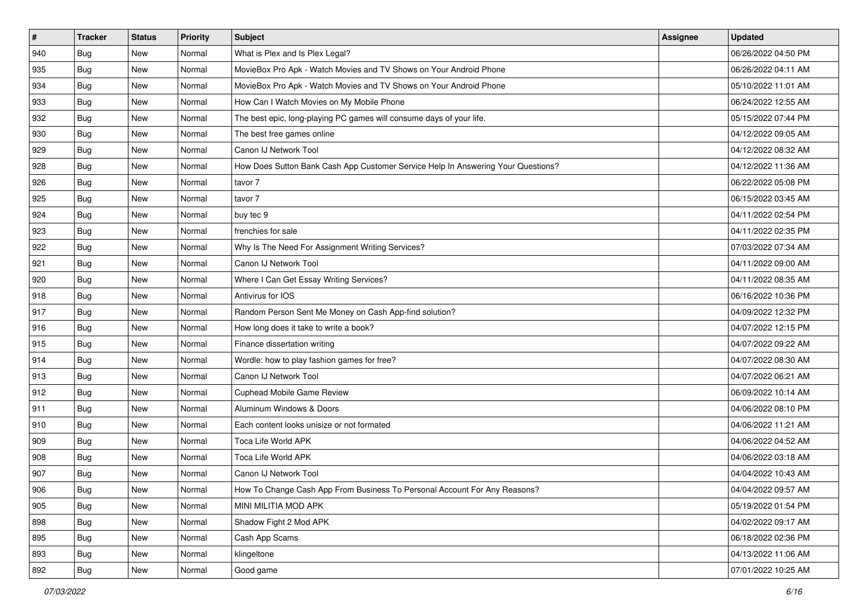| $\sharp$ | <b>Tracker</b> | <b>Status</b> | Priority | Subject                                                                          | <b>Assignee</b> | <b>Updated</b>      |
|----------|----------------|---------------|----------|----------------------------------------------------------------------------------|-----------------|---------------------|
| 940      | <b>Bug</b>     | New           | Normal   | What is Plex and Is Plex Legal?                                                  |                 | 06/26/2022 04:50 PM |
| 935      | Bug            | New           | Normal   | MovieBox Pro Apk - Watch Movies and TV Shows on Your Android Phone               |                 | 06/26/2022 04:11 AM |
| 934      | <b>Bug</b>     | New           | Normal   | MovieBox Pro Apk - Watch Movies and TV Shows on Your Android Phone               |                 | 05/10/2022 11:01 AM |
| 933      | <b>Bug</b>     | New           | Normal   | How Can I Watch Movies on My Mobile Phone                                        |                 | 06/24/2022 12:55 AM |
| 932      | <b>Bug</b>     | <b>New</b>    | Normal   | The best epic, long-playing PC games will consume days of your life.             |                 | 05/15/2022 07:44 PM |
| 930      | <b>Bug</b>     | New           | Normal   | The best free games online                                                       |                 | 04/12/2022 09:05 AM |
| 929      | <b>Bug</b>     | New           | Normal   | Canon IJ Network Tool                                                            |                 | 04/12/2022 08:32 AM |
| 928      | <b>Bug</b>     | New           | Normal   | How Does Sutton Bank Cash App Customer Service Help In Answering Your Questions? |                 | 04/12/2022 11:36 AM |
| 926      | <b>Bug</b>     | New           | Normal   | tavor 7                                                                          |                 | 06/22/2022 05:08 PM |
| 925      | <b>Bug</b>     | New           | Normal   | tavor 7                                                                          |                 | 06/15/2022 03:45 AM |
| 924      | Bug            | New           | Normal   | buy tec 9                                                                        |                 | 04/11/2022 02:54 PM |
| 923      | <b>Bug</b>     | New           | Normal   | frenchies for sale                                                               |                 | 04/11/2022 02:35 PM |
| 922      | Bug            | <b>New</b>    | Normal   | Why Is The Need For Assignment Writing Services?                                 |                 | 07/03/2022 07:34 AM |
| 921      | <b>Bug</b>     | New           | Normal   | Canon IJ Network Tool                                                            |                 | 04/11/2022 09:00 AM |
| 920      | <b>Bug</b>     | New           | Normal   | Where I Can Get Essay Writing Services?                                          |                 | 04/11/2022 08:35 AM |
| 918      | <b>Bug</b>     | New           | Normal   | Antivirus for IOS                                                                |                 | 06/16/2022 10:36 PM |
| 917      | <b>Bug</b>     | New           | Normal   | Random Person Sent Me Money on Cash App-find solution?                           |                 | 04/09/2022 12:32 PM |
| 916      | Bug            | New           | Normal   | How long does it take to write a book?                                           |                 | 04/07/2022 12:15 PM |
| 915      | <b>Bug</b>     | New           | Normal   | Finance dissertation writing                                                     |                 | 04/07/2022 09:22 AM |
| 914      | Bug            | New           | Normal   | Wordle: how to play fashion games for free?                                      |                 | 04/07/2022 08:30 AM |
| 913      | <b>Bug</b>     | New           | Normal   | Canon IJ Network Tool                                                            |                 | 04/07/2022 06:21 AM |
| 912      | <b>Bug</b>     | New           | Normal   | Cuphead Mobile Game Review                                                       |                 | 06/09/2022 10:14 AM |
| 911      | Bug            | New           | Normal   | Aluminum Windows & Doors                                                         |                 | 04/06/2022 08:10 PM |
| 910      | Bug            | New           | Normal   | Each content looks unisize or not formated                                       |                 | 04/06/2022 11:21 AM |
| 909      | <b>Bug</b>     | New           | Normal   | Toca Life World APK                                                              |                 | 04/06/2022 04:52 AM |
| 908      | <b>Bug</b>     | <b>New</b>    | Normal   | Toca Life World APK                                                              |                 | 04/06/2022 03:18 AM |
| 907      | <b>Bug</b>     | New           | Normal   | Canon IJ Network Tool                                                            |                 | 04/04/2022 10:43 AM |
| 906      | i Bug          | New           | Normal   | How To Change Cash App From Business To Personal Account For Any Reasons?        |                 | 04/04/2022 09:57 AM |
| 905      | Bug            | New           | Normal   | MINI MILITIA MOD APK                                                             |                 | 05/19/2022 01:54 PM |
| 898      | Bug            | New           | Normal   | Shadow Fight 2 Mod APK                                                           |                 | 04/02/2022 09:17 AM |
| 895      | Bug            | New           | Normal   | Cash App Scams                                                                   |                 | 06/18/2022 02:36 PM |
| 893      | <b>Bug</b>     | New           | Normal   | klingeltone                                                                      |                 | 04/13/2022 11:06 AM |
| 892      | <b>Bug</b>     | New           | Normal   | Good game                                                                        |                 | 07/01/2022 10:25 AM |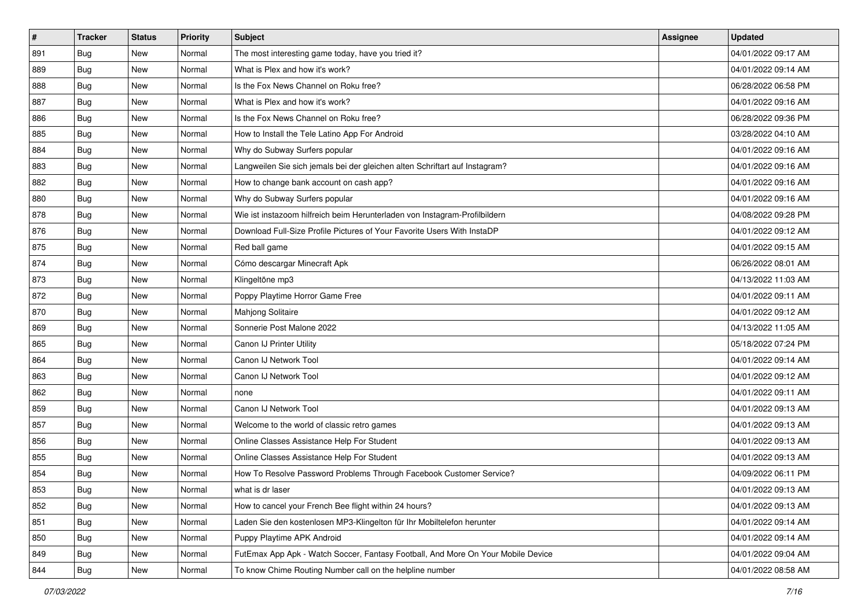| $\vert$ # | <b>Tracker</b> | <b>Status</b> | <b>Priority</b> | Subject                                                                          | <b>Assignee</b> | <b>Updated</b>      |
|-----------|----------------|---------------|-----------------|----------------------------------------------------------------------------------|-----------------|---------------------|
| 891       | Bug            | New           | Normal          | The most interesting game today, have you tried it?                              |                 | 04/01/2022 09:17 AM |
| 889       | Bug            | New           | Normal          | What is Plex and how it's work?                                                  |                 | 04/01/2022 09:14 AM |
| 888       | <b>Bug</b>     | New           | Normal          | Is the Fox News Channel on Roku free?                                            |                 | 06/28/2022 06:58 PM |
| 887       | <b>Bug</b>     | New           | Normal          | What is Plex and how it's work?                                                  |                 | 04/01/2022 09:16 AM |
| 886       | Bug            | <b>New</b>    | Normal          | Is the Fox News Channel on Roku free?                                            |                 | 06/28/2022 09:36 PM |
| 885       | Bug            | New           | Normal          | How to Install the Tele Latino App For Android                                   |                 | 03/28/2022 04:10 AM |
| 884       | Bug            | New           | Normal          | Why do Subway Surfers popular                                                    |                 | 04/01/2022 09:16 AM |
| 883       | Bug            | New           | Normal          | Langweilen Sie sich jemals bei der gleichen alten Schriftart auf Instagram?      |                 | 04/01/2022 09:16 AM |
| 882       | <b>Bug</b>     | New           | Normal          | How to change bank account on cash app?                                          |                 | 04/01/2022 09:16 AM |
| 880       | Bug            | <b>New</b>    | Normal          | Why do Subway Surfers popular                                                    |                 | 04/01/2022 09:16 AM |
| 878       | Bug            | New           | Normal          | Wie ist instazoom hilfreich beim Herunterladen von Instagram-Profilbildern       |                 | 04/08/2022 09:28 PM |
| 876       | Bug            | New           | Normal          | Download Full-Size Profile Pictures of Your Favorite Users With InstaDP          |                 | 04/01/2022 09:12 AM |
| 875       | Bug            | New           | Normal          | Red ball game                                                                    |                 | 04/01/2022 09:15 AM |
| 874       | <b>Bug</b>     | New           | Normal          | Cómo descargar Minecraft Apk                                                     |                 | 06/26/2022 08:01 AM |
| 873       | <b>Bug</b>     | New           | Normal          | Klingeltöne mp3                                                                  |                 | 04/13/2022 11:03 AM |
| 872       | Bug            | New           | Normal          | Poppy Playtime Horror Game Free                                                  |                 | 04/01/2022 09:11 AM |
| 870       | <b>Bug</b>     | New           | Normal          | Mahjong Solitaire                                                                |                 | 04/01/2022 09:12 AM |
| 869       | Bug            | <b>New</b>    | Normal          | Sonnerie Post Malone 2022                                                        |                 | 04/13/2022 11:05 AM |
| 865       | Bug            | New           | Normal          | Canon IJ Printer Utility                                                         |                 | 05/18/2022 07:24 PM |
| 864       | Bug            | New           | Normal          | Canon IJ Network Tool                                                            |                 | 04/01/2022 09:14 AM |
| 863       | Bug            | New           | Normal          | Canon IJ Network Tool                                                            |                 | 04/01/2022 09:12 AM |
| 862       | Bug            | New           | Normal          | none                                                                             |                 | 04/01/2022 09:11 AM |
| 859       | Bug            | <b>New</b>    | Normal          | Canon IJ Network Tool                                                            |                 | 04/01/2022 09:13 AM |
| 857       | Bug            | New           | Normal          | Welcome to the world of classic retro games                                      |                 | 04/01/2022 09:13 AM |
| 856       | <b>Bug</b>     | New           | Normal          | Online Classes Assistance Help For Student                                       |                 | 04/01/2022 09:13 AM |
| 855       | Bug            | New           | Normal          | Online Classes Assistance Help For Student                                       |                 | 04/01/2022 09:13 AM |
| 854       | <b>Bug</b>     | New           | Normal          | How To Resolve Password Problems Through Facebook Customer Service?              |                 | 04/09/2022 06:11 PM |
| 853       | <b>Bug</b>     | New           | Normal          | what is dr laser                                                                 |                 | 04/01/2022 09:13 AM |
| 852       | Bug            | New           | Normal          | How to cancel your French Bee flight within 24 hours?                            |                 | 04/01/2022 09:13 AM |
| 851       | Bug            | New           | Normal          | Laden Sie den kostenlosen MP3-Klingelton für Ihr Mobiltelefon herunter           |                 | 04/01/2022 09:14 AM |
| 850       | Bug            | New           | Normal          | Puppy Playtime APK Android                                                       |                 | 04/01/2022 09:14 AM |
| 849       | Bug            | New           | Normal          | FutEmax App Apk - Watch Soccer, Fantasy Football, And More On Your Mobile Device |                 | 04/01/2022 09:04 AM |
| 844       | <b>Bug</b>     | New           | Normal          | To know Chime Routing Number call on the helpline number                         |                 | 04/01/2022 08:58 AM |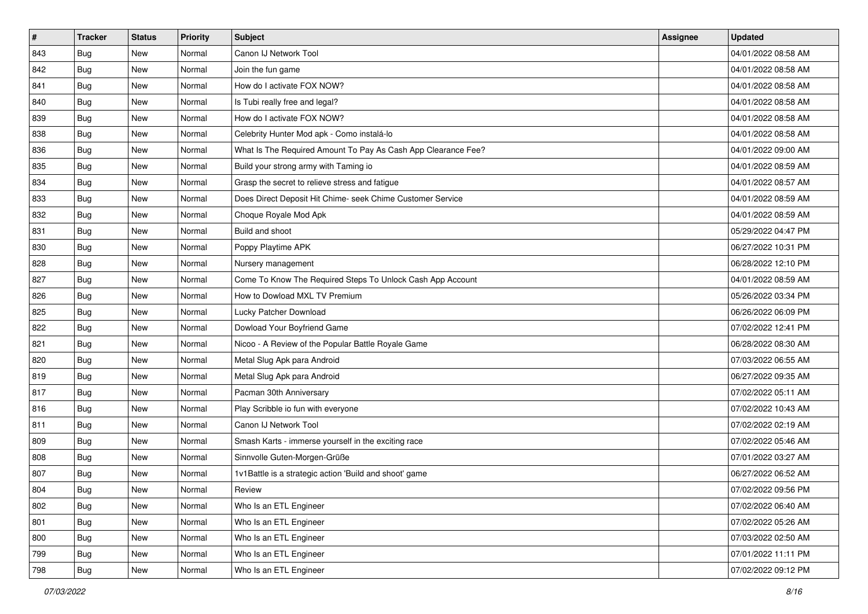| $\vert$ # | <b>Tracker</b> | <b>Status</b> | <b>Priority</b> | Subject                                                       | <b>Assignee</b> | <b>Updated</b>      |
|-----------|----------------|---------------|-----------------|---------------------------------------------------------------|-----------------|---------------------|
| 843       | Bug            | New           | Normal          | Canon IJ Network Tool                                         |                 | 04/01/2022 08:58 AM |
| 842       | Bug            | New           | Normal          | Join the fun game                                             |                 | 04/01/2022 08:58 AM |
| 841       | <b>Bug</b>     | New           | Normal          | How do I activate FOX NOW?                                    |                 | 04/01/2022 08:58 AM |
| 840       | <b>Bug</b>     | New           | Normal          | Is Tubi really free and legal?                                |                 | 04/01/2022 08:58 AM |
| 839       | Bug            | New           | Normal          | How do I activate FOX NOW?                                    |                 | 04/01/2022 08:58 AM |
| 838       | <b>Bug</b>     | New           | Normal          | Celebrity Hunter Mod apk - Como instalá-lo                    |                 | 04/01/2022 08:58 AM |
| 836       | <b>Bug</b>     | New           | Normal          | What Is The Required Amount To Pay As Cash App Clearance Fee? |                 | 04/01/2022 09:00 AM |
| 835       | Bug            | New           | Normal          | Build your strong army with Taming io                         |                 | 04/01/2022 08:59 AM |
| 834       | Bug            | New           | Normal          | Grasp the secret to relieve stress and fatigue                |                 | 04/01/2022 08:57 AM |
| 833       | Bug            | New           | Normal          | Does Direct Deposit Hit Chime- seek Chime Customer Service    |                 | 04/01/2022 08:59 AM |
| 832       | Bug            | New           | Normal          | Choque Royale Mod Apk                                         |                 | 04/01/2022 08:59 AM |
| 831       | Bug            | New           | Normal          | Build and shoot                                               |                 | 05/29/2022 04:47 PM |
| 830       | Bug            | New           | Normal          | Poppy Playtime APK                                            |                 | 06/27/2022 10:31 PM |
| 828       | <b>Bug</b>     | New           | Normal          | Nursery management                                            |                 | 06/28/2022 12:10 PM |
| 827       | Bug            | New           | Normal          | Come To Know The Required Steps To Unlock Cash App Account    |                 | 04/01/2022 08:59 AM |
| 826       | Bug            | New           | Normal          | How to Dowload MXL TV Premium                                 |                 | 05/26/2022 03:34 PM |
| 825       | Bug            | New           | Normal          | Lucky Patcher Download                                        |                 | 06/26/2022 06:09 PM |
| 822       | Bug            | New           | Normal          | Dowload Your Boyfriend Game                                   |                 | 07/02/2022 12:41 PM |
| 821       | <b>Bug</b>     | New           | Normal          | Nicoo - A Review of the Popular Battle Royale Game            |                 | 06/28/2022 08:30 AM |
| 820       | Bug            | New           | Normal          | Metal Slug Apk para Android                                   |                 | 07/03/2022 06:55 AM |
| 819       | Bug            | New           | Normal          | Metal Slug Apk para Android                                   |                 | 06/27/2022 09:35 AM |
| 817       | Bug            | New           | Normal          | Pacman 30th Anniversary                                       |                 | 07/02/2022 05:11 AM |
| 816       | Bug            | New           | Normal          | Play Scribble io fun with everyone                            |                 | 07/02/2022 10:43 AM |
| 811       | Bug            | New           | Normal          | Canon IJ Network Tool                                         |                 | 07/02/2022 02:19 AM |
| 809       | <b>Bug</b>     | New           | Normal          | Smash Karts - immerse yourself in the exciting race           |                 | 07/02/2022 05:46 AM |
| 808       | Bug            | New           | Normal          | Sinnvolle Guten-Morgen-Grüße                                  |                 | 07/01/2022 03:27 AM |
| 807       | <b>Bug</b>     | New           | Normal          | 1v1Battle is a strategic action 'Build and shoot' game        |                 | 06/27/2022 06:52 AM |
| 804       | <b>Bug</b>     | New           | Normal          | Review                                                        |                 | 07/02/2022 09:56 PM |
| 802       | Bug            | New           | Normal          | Who Is an ETL Engineer                                        |                 | 07/02/2022 06:40 AM |
| 801       | Bug            | New           | Normal          | Who Is an ETL Engineer                                        |                 | 07/02/2022 05:26 AM |
| 800       | Bug            | New           | Normal          | Who Is an ETL Engineer                                        |                 | 07/03/2022 02:50 AM |
| 799       | Bug            | New           | Normal          | Who Is an ETL Engineer                                        |                 | 07/01/2022 11:11 PM |
| 798       | <b>Bug</b>     | New           | Normal          | Who Is an ETL Engineer                                        |                 | 07/02/2022 09:12 PM |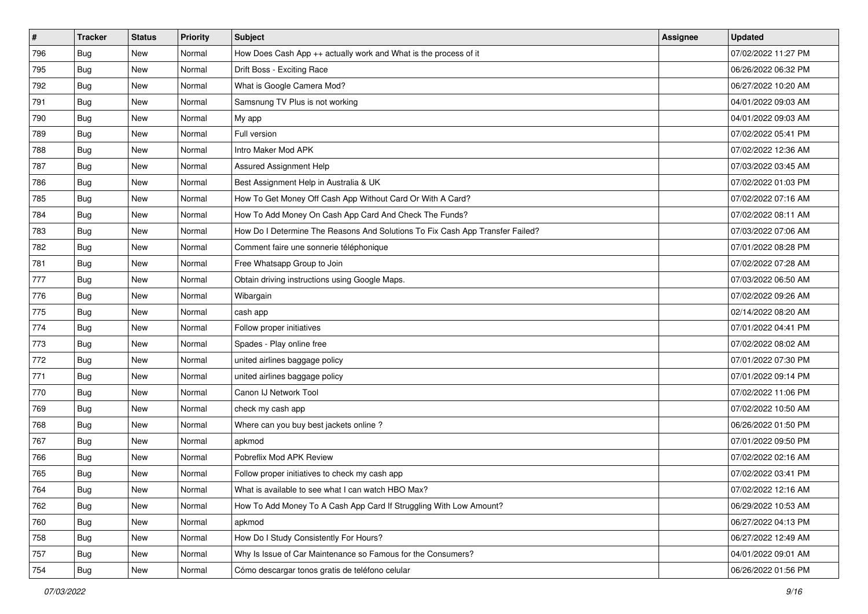| #   | <b>Tracker</b> | <b>Status</b> | <b>Priority</b> | Subject                                                                       | <b>Assignee</b> | <b>Updated</b>      |
|-----|----------------|---------------|-----------------|-------------------------------------------------------------------------------|-----------------|---------------------|
| 796 | <b>Bug</b>     | New           | Normal          | How Does Cash App ++ actually work and What is the process of it              |                 | 07/02/2022 11:27 PM |
| 795 | Bug            | New           | Normal          | Drift Boss - Exciting Race                                                    |                 | 06/26/2022 06:32 PM |
| 792 | <b>Bug</b>     | New           | Normal          | What is Google Camera Mod?                                                    |                 | 06/27/2022 10:20 AM |
| 791 | Bug            | New           | Normal          | Samsnung TV Plus is not working                                               |                 | 04/01/2022 09:03 AM |
| 790 | Bug            | New           | Normal          | My app                                                                        |                 | 04/01/2022 09:03 AM |
| 789 | Bug            | New           | Normal          | Full version                                                                  |                 | 07/02/2022 05:41 PM |
| 788 | Bug            | New           | Normal          | Intro Maker Mod APK                                                           |                 | 07/02/2022 12:36 AM |
| 787 | <b>Bug</b>     | New           | Normal          | Assured Assignment Help                                                       |                 | 07/03/2022 03:45 AM |
| 786 | Bug            | New           | Normal          | Best Assignment Help in Australia & UK                                        |                 | 07/02/2022 01:03 PM |
| 785 | Bug            | New           | Normal          | How To Get Money Off Cash App Without Card Or With A Card?                    |                 | 07/02/2022 07:16 AM |
| 784 | Bug            | New           | Normal          | How To Add Money On Cash App Card And Check The Funds?                        |                 | 07/02/2022 08:11 AM |
| 783 | Bug            | New           | Normal          | How Do I Determine The Reasons And Solutions To Fix Cash App Transfer Failed? |                 | 07/03/2022 07:06 AM |
| 782 | Bug            | New           | Normal          | Comment faire une sonnerie téléphonique                                       |                 | 07/01/2022 08:28 PM |
| 781 | <b>Bug</b>     | New           | Normal          | Free Whatsapp Group to Join                                                   |                 | 07/02/2022 07:28 AM |
| 777 | <b>Bug</b>     | New           | Normal          | Obtain driving instructions using Google Maps.                                |                 | 07/03/2022 06:50 AM |
| 776 | Bug            | New           | Normal          | Wibargain                                                                     |                 | 07/02/2022 09:26 AM |
| 775 | Bug            | New           | Normal          | cash app                                                                      |                 | 02/14/2022 08:20 AM |
| 774 | Bug            | New           | Normal          | Follow proper initiatives                                                     |                 | 07/01/2022 04:41 PM |
| 773 | <b>Bug</b>     | New           | Normal          | Spades - Play online free                                                     |                 | 07/02/2022 08:02 AM |
| 772 | <b>Bug</b>     | New           | Normal          | united airlines baggage policy                                                |                 | 07/01/2022 07:30 PM |
| 771 | <b>Bug</b>     | New           | Normal          | united airlines baggage policy                                                |                 | 07/01/2022 09:14 PM |
| 770 | Bug            | New           | Normal          | Canon IJ Network Tool                                                         |                 | 07/02/2022 11:06 PM |
| 769 | Bug            | New           | Normal          | check my cash app                                                             |                 | 07/02/2022 10:50 AM |
| 768 | Bug            | New           | Normal          | Where can you buy best jackets online?                                        |                 | 06/26/2022 01:50 PM |
| 767 | Bug            | New           | Normal          | apkmod                                                                        |                 | 07/01/2022 09:50 PM |
| 766 | Bug            | New           | Normal          | Pobreflix Mod APK Review                                                      |                 | 07/02/2022 02:16 AM |
| 765 | <b>Bug</b>     | New           | Normal          | Follow proper initiatives to check my cash app                                |                 | 07/02/2022 03:41 PM |
| 764 | <b>Bug</b>     | New           | Normal          | What is available to see what I can watch HBO Max?                            |                 | 07/02/2022 12:16 AM |
| 762 | <b>Bug</b>     | New           | Normal          | How To Add Money To A Cash App Card If Struggling With Low Amount?            |                 | 06/29/2022 10:53 AM |
| 760 | Bug            | New           | Normal          | apkmod                                                                        |                 | 06/27/2022 04:13 PM |
| 758 | Bug            | New           | Normal          | How Do I Study Consistently For Hours?                                        |                 | 06/27/2022 12:49 AM |
| 757 | Bug            | New           | Normal          | Why Is Issue of Car Maintenance so Famous for the Consumers?                  |                 | 04/01/2022 09:01 AM |
| 754 | <b>Bug</b>     | New           | Normal          | Cómo descargar tonos gratis de teléfono celular                               |                 | 06/26/2022 01:56 PM |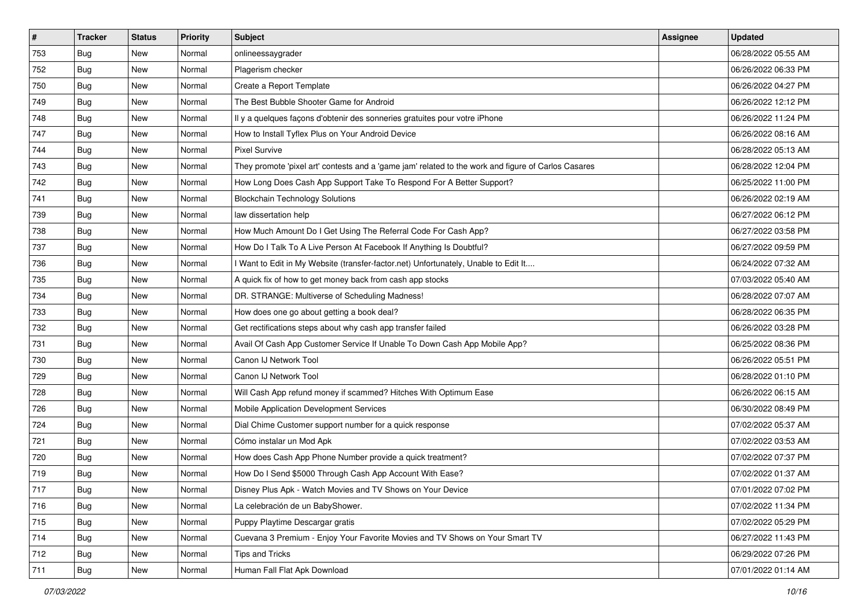| $\vert$ # | <b>Tracker</b> | <b>Status</b> | Priority | Subject                                                                                             | <b>Assignee</b> | <b>Updated</b>      |
|-----------|----------------|---------------|----------|-----------------------------------------------------------------------------------------------------|-----------------|---------------------|
| 753       | Bug            | New           | Normal   | onlineessaygrader                                                                                   |                 | 06/28/2022 05:55 AM |
| 752       | <b>Bug</b>     | New           | Normal   | Plagerism checker                                                                                   |                 | 06/26/2022 06:33 PM |
| 750       | <b>Bug</b>     | New           | Normal   | Create a Report Template                                                                            |                 | 06/26/2022 04:27 PM |
| 749       | Bug            | New           | Normal   | The Best Bubble Shooter Game for Android                                                            |                 | 06/26/2022 12:12 PM |
| 748       | Bug            | New           | Normal   | Il y a quelques façons d'obtenir des sonneries gratuites pour votre iPhone                          |                 | 06/26/2022 11:24 PM |
| 747       | Bug            | New           | Normal   | How to Install Tyflex Plus on Your Android Device                                                   |                 | 06/26/2022 08:16 AM |
| 744       | Bug            | New           | Normal   | <b>Pixel Survive</b>                                                                                |                 | 06/28/2022 05:13 AM |
| 743       | <b>Bug</b>     | New           | Normal   | They promote 'pixel art' contests and a 'game jam' related to the work and figure of Carlos Casares |                 | 06/28/2022 12:04 PM |
| 742       | Bug            | New           | Normal   | How Long Does Cash App Support Take To Respond For A Better Support?                                |                 | 06/25/2022 11:00 PM |
| 741       | Bug            | New           | Normal   | <b>Blockchain Technology Solutions</b>                                                              |                 | 06/26/2022 02:19 AM |
| 739       | Bug            | New           | Normal   | law dissertation help                                                                               |                 | 06/27/2022 06:12 PM |
| 738       | Bug            | New           | Normal   | How Much Amount Do I Get Using The Referral Code For Cash App?                                      |                 | 06/27/2022 03:58 PM |
| 737       | Bug            | New           | Normal   | How Do I Talk To A Live Person At Facebook If Anything Is Doubtful?                                 |                 | 06/27/2022 09:59 PM |
| 736       | Bug            | New           | Normal   | Want to Edit in My Website (transfer-factor.net) Unfortunately, Unable to Edit It                   |                 | 06/24/2022 07:32 AM |
| 735       | Bug            | New           | Normal   | A quick fix of how to get money back from cash app stocks                                           |                 | 07/03/2022 05:40 AM |
| 734       | Bug            | New           | Normal   | DR. STRANGE: Multiverse of Scheduling Madness!                                                      |                 | 06/28/2022 07:07 AM |
| 733       | Bug            | New           | Normal   | How does one go about getting a book deal?                                                          |                 | 06/28/2022 06:35 PM |
| 732       | Bug            | New           | Normal   | Get rectifications steps about why cash app transfer failed                                         |                 | 06/26/2022 03:28 PM |
| 731       | Bug            | New           | Normal   | Avail Of Cash App Customer Service If Unable To Down Cash App Mobile App?                           |                 | 06/25/2022 08:36 PM |
| 730       | Bug            | New           | Normal   | Canon IJ Network Tool                                                                               |                 | 06/26/2022 05:51 PM |
| 729       | Bug            | New           | Normal   | Canon IJ Network Tool                                                                               |                 | 06/28/2022 01:10 PM |
| 728       | <b>Bug</b>     | New           | Normal   | Will Cash App refund money if scammed? Hitches With Optimum Ease                                    |                 | 06/26/2022 06:15 AM |
| 726       | Bug            | New           | Normal   | Mobile Application Development Services                                                             |                 | 06/30/2022 08:49 PM |
| 724       | <b>Bug</b>     | New           | Normal   | Dial Chime Customer support number for a quick response                                             |                 | 07/02/2022 05:37 AM |
| 721       | Bug            | New           | Normal   | Cómo instalar un Mod Apk                                                                            |                 | 07/02/2022 03:53 AM |
| 720       | Bug            | New           | Normal   | How does Cash App Phone Number provide a quick treatment?                                           |                 | 07/02/2022 07:37 PM |
| 719       | <b>Bug</b>     | New           | Normal   | How Do I Send \$5000 Through Cash App Account With Ease?                                            |                 | 07/02/2022 01:37 AM |
| 717       | Bug            | New           | Normal   | Disney Plus Apk - Watch Movies and TV Shows on Your Device                                          |                 | 07/01/2022 07:02 PM |
| 716       | Bug            | New           | Normal   | La celebración de un BabyShower.                                                                    |                 | 07/02/2022 11:34 PM |
| 715       | Bug            | New           | Normal   | Puppy Playtime Descargar gratis                                                                     |                 | 07/02/2022 05:29 PM |
| 714       | Bug            | New           | Normal   | Cuevana 3 Premium - Enjoy Your Favorite Movies and TV Shows on Your Smart TV                        |                 | 06/27/2022 11:43 PM |
| 712       | <b>Bug</b>     | New           | Normal   | <b>Tips and Tricks</b>                                                                              |                 | 06/29/2022 07:26 PM |
| 711       | <b>Bug</b>     | New           | Normal   | Human Fall Flat Apk Download                                                                        |                 | 07/01/2022 01:14 AM |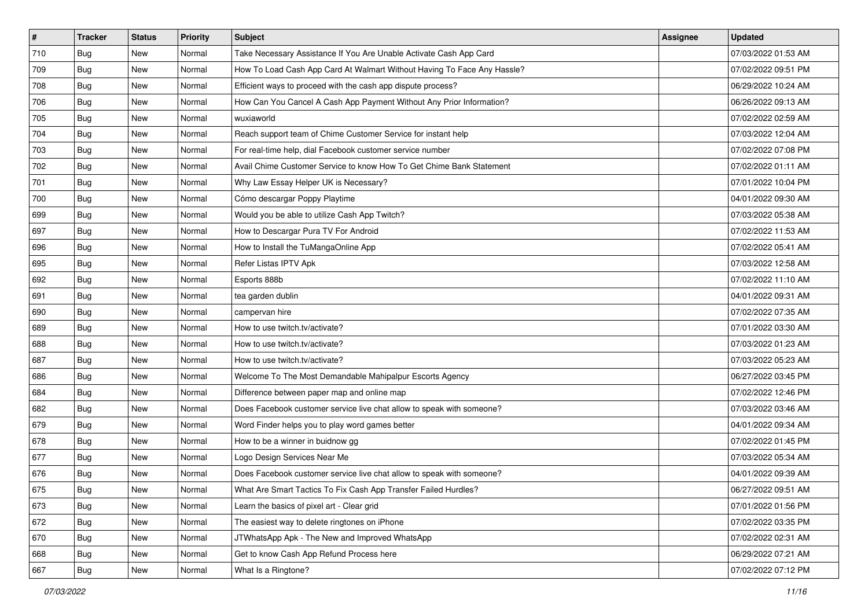| $\vert$ # | <b>Tracker</b> | <b>Status</b> | <b>Priority</b> | Subject                                                                 | <b>Assignee</b> | <b>Updated</b>      |
|-----------|----------------|---------------|-----------------|-------------------------------------------------------------------------|-----------------|---------------------|
| 710       | <b>Bug</b>     | New           | Normal          | Take Necessary Assistance If You Are Unable Activate Cash App Card      |                 | 07/03/2022 01:53 AM |
| 709       | Bug            | New           | Normal          | How To Load Cash App Card At Walmart Without Having To Face Any Hassle? |                 | 07/02/2022 09:51 PM |
| 708       | Bug            | New           | Normal          | Efficient ways to proceed with the cash app dispute process?            |                 | 06/29/2022 10:24 AM |
| 706       | <b>Bug</b>     | New           | Normal          | How Can You Cancel A Cash App Payment Without Any Prior Information?    |                 | 06/26/2022 09:13 AM |
| 705       | Bug            | New           | Normal          | wuxiaworld                                                              |                 | 07/02/2022 02:59 AM |
| 704       | Bug            | New           | Normal          | Reach support team of Chime Customer Service for instant help           |                 | 07/03/2022 12:04 AM |
| 703       | <b>Bug</b>     | New           | Normal          | For real-time help, dial Facebook customer service number               |                 | 07/02/2022 07:08 PM |
| 702       | Bug            | New           | Normal          | Avail Chime Customer Service to know How To Get Chime Bank Statement    |                 | 07/02/2022 01:11 AM |
| 701       | <b>Bug</b>     | New           | Normal          | Why Law Essay Helper UK is Necessary?                                   |                 | 07/01/2022 10:04 PM |
| 700       | <b>Bug</b>     | New           | Normal          | Cómo descargar Poppy Playtime                                           |                 | 04/01/2022 09:30 AM |
| 699       | <b>Bug</b>     | New           | Normal          | Would you be able to utilize Cash App Twitch?                           |                 | 07/03/2022 05:38 AM |
| 697       | <b>Bug</b>     | New           | Normal          | How to Descargar Pura TV For Android                                    |                 | 07/02/2022 11:53 AM |
| 696       | Bug            | New           | Normal          | How to Install the TuMangaOnline App                                    |                 | 07/02/2022 05:41 AM |
| 695       | <b>Bug</b>     | New           | Normal          | Refer Listas IPTV Apk                                                   |                 | 07/03/2022 12:58 AM |
| 692       | <b>Bug</b>     | New           | Normal          | Esports 888b                                                            |                 | 07/02/2022 11:10 AM |
| 691       | <b>Bug</b>     | New           | Normal          | tea garden dublin                                                       |                 | 04/01/2022 09:31 AM |
| 690       | <b>Bug</b>     | New           | Normal          | campervan hire                                                          |                 | 07/02/2022 07:35 AM |
| 689       | Bug            | New           | Normal          | How to use twitch.tv/activate?                                          |                 | 07/01/2022 03:30 AM |
| 688       | <b>Bug</b>     | New           | Normal          | How to use twitch.tv/activate?                                          |                 | 07/03/2022 01:23 AM |
| 687       | <b>Bug</b>     | New           | Normal          | How to use twitch.tv/activate?                                          |                 | 07/03/2022 05:23 AM |
| 686       | <b>Bug</b>     | <b>New</b>    | Normal          | Welcome To The Most Demandable Mahipalpur Escorts Agency                |                 | 06/27/2022 03:45 PM |
| 684       | <b>Bug</b>     | New           | Normal          | Difference between paper map and online map                             |                 | 07/02/2022 12:46 PM |
| 682       | Bug            | New           | Normal          | Does Facebook customer service live chat allow to speak with someone?   |                 | 07/03/2022 03:46 AM |
| 679       | Bug            | New           | Normal          | Word Finder helps you to play word games better                         |                 | 04/01/2022 09:34 AM |
| 678       | Bug            | New           | Normal          | How to be a winner in buidnow gg                                        |                 | 07/02/2022 01:45 PM |
| 677       | Bug            | New           | Normal          | Logo Design Services Near Me                                            |                 | 07/03/2022 05:34 AM |
| 676       | <b>Bug</b>     | New           | Normal          | Does Facebook customer service live chat allow to speak with someone?   |                 | 04/01/2022 09:39 AM |
| 675       | <b>Bug</b>     | New           | Normal          | What Are Smart Tactics To Fix Cash App Transfer Failed Hurdles?         |                 | 06/27/2022 09:51 AM |
| 673       | Bug            | New           | Normal          | Learn the basics of pixel art - Clear grid                              |                 | 07/01/2022 01:56 PM |
| 672       | Bug            | New           | Normal          | The easiest way to delete ringtones on iPhone                           |                 | 07/02/2022 03:35 PM |
| 670       | Bug            | New           | Normal          | JTWhatsApp Apk - The New and Improved WhatsApp                          |                 | 07/02/2022 02:31 AM |
| 668       | <b>Bug</b>     | New           | Normal          | Get to know Cash App Refund Process here                                |                 | 06/29/2022 07:21 AM |
| 667       | <b>Bug</b>     | New           | Normal          | What Is a Ringtone?                                                     |                 | 07/02/2022 07:12 PM |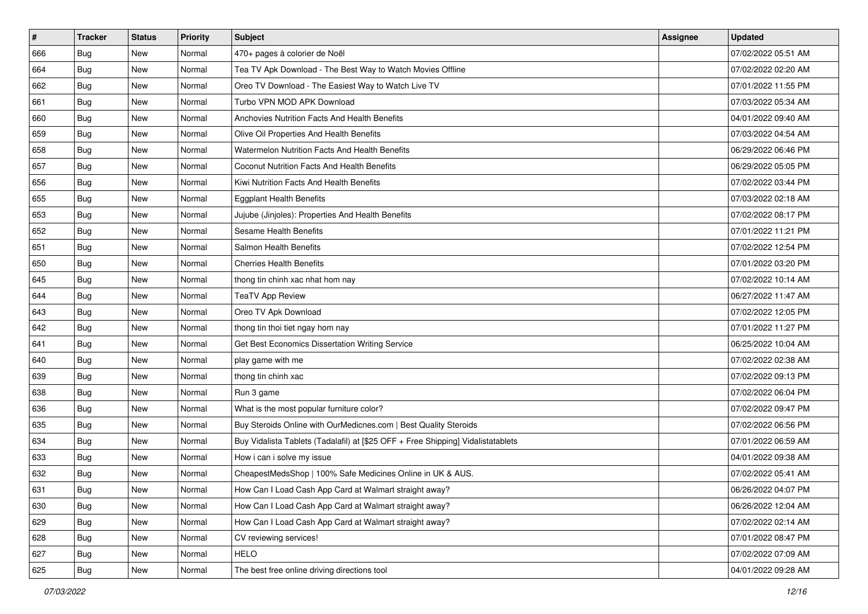| $\vert$ # | <b>Tracker</b> | <b>Status</b> | <b>Priority</b> | Subject                                                                          | <b>Assignee</b> | <b>Updated</b>      |
|-----------|----------------|---------------|-----------------|----------------------------------------------------------------------------------|-----------------|---------------------|
| 666       | Bug            | New           | Normal          | 470+ pages à colorier de Noël                                                    |                 | 07/02/2022 05:51 AM |
| 664       | Bug            | New           | Normal          | Tea TV Apk Download - The Best Way to Watch Movies Offline                       |                 | 07/02/2022 02:20 AM |
| 662       | Bug            | New           | Normal          | Oreo TV Download - The Easiest Way to Watch Live TV                              |                 | 07/01/2022 11:55 PM |
| 661       | Bug            | <b>New</b>    | Normal          | Turbo VPN MOD APK Download                                                       |                 | 07/03/2022 05:34 AM |
| 660       | Bug            | <b>New</b>    | Normal          | Anchovies Nutrition Facts And Health Benefits                                    |                 | 04/01/2022 09:40 AM |
| 659       | Bug            | New           | Normal          | Olive Oil Properties And Health Benefits                                         |                 | 07/03/2022 04:54 AM |
| 658       | Bug            | New           | Normal          | Watermelon Nutrition Facts And Health Benefits                                   |                 | 06/29/2022 06:46 PM |
| 657       | <b>Bug</b>     | New           | Normal          | Coconut Nutrition Facts And Health Benefits                                      |                 | 06/29/2022 05:05 PM |
| 656       | Bug            | <b>New</b>    | Normal          | Kiwi Nutrition Facts And Health Benefits                                         |                 | 07/02/2022 03:44 PM |
| 655       | Bug            | New           | Normal          | <b>Eggplant Health Benefits</b>                                                  |                 | 07/03/2022 02:18 AM |
| 653       | Bug            | New           | Normal          | Jujube (Jinjoles): Properties And Health Benefits                                |                 | 07/02/2022 08:17 PM |
| 652       | Bug            | New           | Normal          | Sesame Health Benefits                                                           |                 | 07/01/2022 11:21 PM |
| 651       | Bug            | <b>New</b>    | Normal          | Salmon Health Benefits                                                           |                 | 07/02/2022 12:54 PM |
| 650       | Bug            | <b>New</b>    | Normal          | <b>Cherries Health Benefits</b>                                                  |                 | 07/01/2022 03:20 PM |
| 645       | Bug            | New           | Normal          | thong tin chinh xac nhat hom nay                                                 |                 | 07/02/2022 10:14 AM |
| 644       | Bug            | New           | Normal          | <b>TeaTV App Review</b>                                                          |                 | 06/27/2022 11:47 AM |
| 643       | Bug            | New           | Normal          | Oreo TV Apk Download                                                             |                 | 07/02/2022 12:05 PM |
| 642       | Bug            | <b>New</b>    | Normal          | thong tin thoi tiet ngay hom nay                                                 |                 | 07/01/2022 11:27 PM |
| 641       | Bug            | New           | Normal          | Get Best Economics Dissertation Writing Service                                  |                 | 06/25/2022 10:04 AM |
| 640       | Bug            | New           | Normal          | play game with me                                                                |                 | 07/02/2022 02:38 AM |
| 639       | <b>Bug</b>     | New           | Normal          | thong tin chinh xac                                                              |                 | 07/02/2022 09:13 PM |
| 638       | Bug            | New           | Normal          | Run 3 game                                                                       |                 | 07/02/2022 06:04 PM |
| 636       | Bug            | <b>New</b>    | Normal          | What is the most popular furniture color?                                        |                 | 07/02/2022 09:47 PM |
| 635       | Bug            | New           | Normal          | Buy Steroids Online with OurMedicnes.com   Best Quality Steroids                 |                 | 07/02/2022 06:56 PM |
| 634       | Bug            | New           | Normal          | Buy Vidalista Tablets (Tadalafil) at [\$25 OFF + Free Shipping] Vidalistatablets |                 | 07/01/2022 06:59 AM |
| 633       | Bug            | <b>New</b>    | Normal          | How i can i solve my issue                                                       |                 | 04/01/2022 09:38 AM |
| 632       | Bug            | New           | Normal          | CheapestMedsShop   100% Safe Medicines Online in UK & AUS.                       |                 | 07/02/2022 05:41 AM |
| 631       | <b>Bug</b>     | New           | Normal          | How Can I Load Cash App Card at Walmart straight away?                           |                 | 06/26/2022 04:07 PM |
| 630       | Bug            | New           | Normal          | How Can I Load Cash App Card at Walmart straight away?                           |                 | 06/26/2022 12:04 AM |
| 629       | Bug            | New           | Normal          | How Can I Load Cash App Card at Walmart straight away?                           |                 | 07/02/2022 02:14 AM |
| 628       | <b>Bug</b>     | New           | Normal          | CV reviewing services!                                                           |                 | 07/01/2022 08:47 PM |
| 627       | <b>Bug</b>     | New           | Normal          | <b>HELO</b>                                                                      |                 | 07/02/2022 07:09 AM |
| 625       | Bug            | New           | Normal          | The best free online driving directions tool                                     |                 | 04/01/2022 09:28 AM |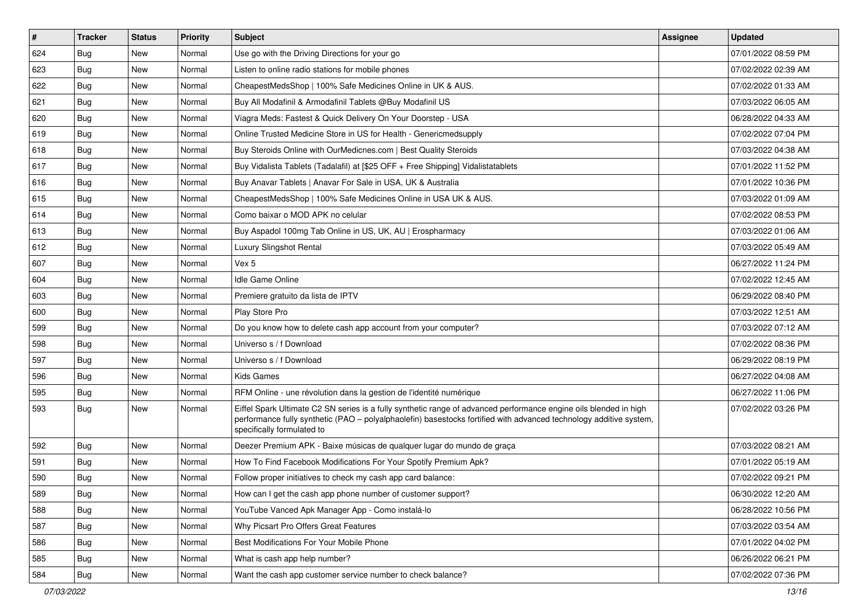| #   | <b>Tracker</b> | <b>Status</b> | <b>Priority</b> | <b>Subject</b>                                                                                                                                                                                                                                                        | <b>Assignee</b> | <b>Updated</b>      |
|-----|----------------|---------------|-----------------|-----------------------------------------------------------------------------------------------------------------------------------------------------------------------------------------------------------------------------------------------------------------------|-----------------|---------------------|
| 624 | Bug            | New           | Normal          | Use go with the Driving Directions for your go                                                                                                                                                                                                                        |                 | 07/01/2022 08:59 PM |
| 623 | Bug            | <b>New</b>    | Normal          | Listen to online radio stations for mobile phones                                                                                                                                                                                                                     |                 | 07/02/2022 02:39 AM |
| 622 | Bug            | New           | Normal          | CheapestMedsShop   100% Safe Medicines Online in UK & AUS.                                                                                                                                                                                                            |                 | 07/02/2022 01:33 AM |
| 621 | Bug            | New           | Normal          | Buy All Modafinil & Armodafinil Tablets @Buy Modafinil US                                                                                                                                                                                                             |                 | 07/03/2022 06:05 AM |
| 620 | Bug            | <b>New</b>    | Normal          | Viagra Meds: Fastest & Quick Delivery On Your Doorstep - USA                                                                                                                                                                                                          |                 | 06/28/2022 04:33 AM |
| 619 | Bug            | New           | Normal          | Online Trusted Medicine Store in US for Health - Genericmedsupply                                                                                                                                                                                                     |                 | 07/02/2022 07:04 PM |
| 618 | Bug            | <b>New</b>    | Normal          | Buy Steroids Online with OurMedicnes.com   Best Quality Steroids                                                                                                                                                                                                      |                 | 07/03/2022 04:38 AM |
| 617 | <b>Bug</b>     | New           | Normal          | Buy Vidalista Tablets (Tadalafil) at [\$25 OFF + Free Shipping] Vidalistatablets                                                                                                                                                                                      |                 | 07/01/2022 11:52 PM |
| 616 | Bug            | New           | Normal          | Buy Anavar Tablets   Anavar For Sale in USA, UK & Australia                                                                                                                                                                                                           |                 | 07/01/2022 10:36 PM |
| 615 | Bug            | New           | Normal          | CheapestMedsShop   100% Safe Medicines Online in USA UK & AUS.                                                                                                                                                                                                        |                 | 07/03/2022 01:09 AM |
| 614 | <b>Bug</b>     | New           | Normal          | Como baixar o MOD APK no celular                                                                                                                                                                                                                                      |                 | 07/02/2022 08:53 PM |
| 613 | Bug            | New           | Normal          | Buy Aspadol 100mg Tab Online in US, UK, AU   Erospharmacy                                                                                                                                                                                                             |                 | 07/03/2022 01:06 AM |
| 612 | Bug            | New           | Normal          | Luxury Slingshot Rental                                                                                                                                                                                                                                               |                 | 07/03/2022 05:49 AM |
| 607 | Bug            | New           | Normal          | Vex 5                                                                                                                                                                                                                                                                 |                 | 06/27/2022 11:24 PM |
| 604 | Bug            | New           | Normal          | <b>Idle Game Online</b>                                                                                                                                                                                                                                               |                 | 07/02/2022 12:45 AM |
| 603 | Bug            | New           | Normal          | Premiere gratuito da lista de IPTV                                                                                                                                                                                                                                    |                 | 06/29/2022 08:40 PM |
| 600 | Bug            | New           | Normal          | Play Store Pro                                                                                                                                                                                                                                                        |                 | 07/03/2022 12:51 AM |
| 599 | Bug            | <b>New</b>    | Normal          | Do you know how to delete cash app account from your computer?                                                                                                                                                                                                        |                 | 07/03/2022 07:12 AM |
| 598 | Bug            | New           | Normal          | Universo s / f Download                                                                                                                                                                                                                                               |                 | 07/02/2022 08:36 PM |
| 597 | Bug            | <b>New</b>    | Normal          | Universo s / f Download                                                                                                                                                                                                                                               |                 | 06/29/2022 08:19 PM |
| 596 | <b>Bug</b>     | New           | Normal          | <b>Kids Games</b>                                                                                                                                                                                                                                                     |                 | 06/27/2022 04:08 AM |
| 595 | <b>Bug</b>     | New           | Normal          | RFM Online - une révolution dans la gestion de l'identité numérique                                                                                                                                                                                                   |                 | 06/27/2022 11:06 PM |
| 593 | Bug            | New           | Normal          | Eiffel Spark Ultimate C2 SN series is a fully synthetic range of advanced performance engine oils blended in high<br>performance fully synthetic (PAO - polyalphaolefin) basestocks fortified with advanced technology additive system,<br>specifically formulated to |                 | 07/02/2022 03:26 PM |
| 592 | Bug            | <b>New</b>    | Normal          | Deezer Premium APK - Baixe músicas de qualquer lugar do mundo de graça                                                                                                                                                                                                |                 | 07/03/2022 08:21 AM |
| 591 | <b>Bug</b>     | New           | Normal          | How To Find Facebook Modifications For Your Spotify Premium Apk?                                                                                                                                                                                                      |                 | 07/01/2022 05:19 AM |
| 590 | <b>Bug</b>     | New           | Normal          | Follow proper initiatives to check my cash app card balance:                                                                                                                                                                                                          |                 | 07/02/2022 09:21 PM |
| 589 | Bug            | New           | Normal          | How can I get the cash app phone number of customer support?                                                                                                                                                                                                          |                 | 06/30/2022 12:20 AM |
| 588 | Bug            | New           | Normal          | YouTube Vanced Apk Manager App - Como instalá-lo                                                                                                                                                                                                                      |                 | 06/28/2022 10:56 PM |
| 587 | <b>Bug</b>     | New           | Normal          | Why Picsart Pro Offers Great Features                                                                                                                                                                                                                                 |                 | 07/03/2022 03:54 AM |
| 586 | <b>Bug</b>     | New           | Normal          | Best Modifications For Your Mobile Phone                                                                                                                                                                                                                              |                 | 07/01/2022 04:02 PM |
| 585 | Bug            | New           | Normal          | What is cash app help number?                                                                                                                                                                                                                                         |                 | 06/26/2022 06:21 PM |
| 584 | <b>Bug</b>     | New           | Normal          | Want the cash app customer service number to check balance?                                                                                                                                                                                                           |                 | 07/02/2022 07:36 PM |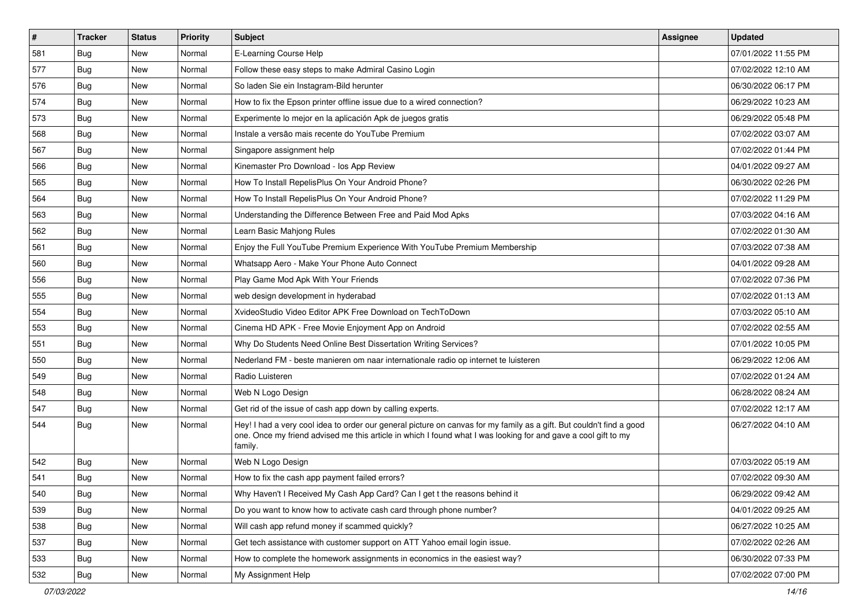| $\vert$ # | <b>Tracker</b> | <b>Status</b> | Priority | Subject                                                                                                                                                                                                                                           | <b>Assignee</b> | <b>Updated</b>      |
|-----------|----------------|---------------|----------|---------------------------------------------------------------------------------------------------------------------------------------------------------------------------------------------------------------------------------------------------|-----------------|---------------------|
| 581       | <b>Bug</b>     | New           | Normal   | E-Learning Course Help                                                                                                                                                                                                                            |                 | 07/01/2022 11:55 PM |
| 577       | Bug            | New           | Normal   | Follow these easy steps to make Admiral Casino Login                                                                                                                                                                                              |                 | 07/02/2022 12:10 AM |
| 576       | Bug            | New           | Normal   | So laden Sie ein Instagram-Bild herunter                                                                                                                                                                                                          |                 | 06/30/2022 06:17 PM |
| 574       | <b>Bug</b>     | New           | Normal   | How to fix the Epson printer offline issue due to a wired connection?                                                                                                                                                                             |                 | 06/29/2022 10:23 AM |
| 573       | <b>Bug</b>     | New           | Normal   | Experimente lo mejor en la aplicación Apk de juegos gratis                                                                                                                                                                                        |                 | 06/29/2022 05:48 PM |
| 568       | <b>Bug</b>     | New           | Normal   | Instale a versão mais recente do YouTube Premium                                                                                                                                                                                                  |                 | 07/02/2022 03:07 AM |
| 567       | Bug            | New           | Normal   | Singapore assignment help                                                                                                                                                                                                                         |                 | 07/02/2022 01:44 PM |
| 566       | <b>Bug</b>     | New           | Normal   | Kinemaster Pro Download - los App Review                                                                                                                                                                                                          |                 | 04/01/2022 09:27 AM |
| 565       | Bug            | New           | Normal   | How To Install RepelisPlus On Your Android Phone?                                                                                                                                                                                                 |                 | 06/30/2022 02:26 PM |
| 564       | Bug            | New           | Normal   | How To Install RepelisPlus On Your Android Phone?                                                                                                                                                                                                 |                 | 07/02/2022 11:29 PM |
| 563       | Bug            | New           | Normal   | Understanding the Difference Between Free and Paid Mod Apks                                                                                                                                                                                       |                 | 07/03/2022 04:16 AM |
| 562       | Bug            | New           | Normal   | Learn Basic Mahjong Rules                                                                                                                                                                                                                         |                 | 07/02/2022 01:30 AM |
| 561       | Bug            | <b>New</b>    | Normal   | Enjoy the Full YouTube Premium Experience With YouTube Premium Membership                                                                                                                                                                         |                 | 07/03/2022 07:38 AM |
| 560       | <b>Bug</b>     | New           | Normal   | Whatsapp Aero - Make Your Phone Auto Connect                                                                                                                                                                                                      |                 | 04/01/2022 09:28 AM |
| 556       | Bug            | <b>New</b>    | Normal   | Play Game Mod Apk With Your Friends                                                                                                                                                                                                               |                 | 07/02/2022 07:36 PM |
| 555       | Bug            | New           | Normal   | web design development in hyderabad                                                                                                                                                                                                               |                 | 07/02/2022 01:13 AM |
| 554       | <b>Bug</b>     | New           | Normal   | XvideoStudio Video Editor APK Free Download on TechToDown                                                                                                                                                                                         |                 | 07/03/2022 05:10 AM |
| 553       | Bug            | New           | Normal   | Cinema HD APK - Free Movie Enjoyment App on Android                                                                                                                                                                                               |                 | 07/02/2022 02:55 AM |
| 551       | <b>Bug</b>     | New           | Normal   | Why Do Students Need Online Best Dissertation Writing Services?                                                                                                                                                                                   |                 | 07/01/2022 10:05 PM |
| 550       | Bug            | <b>New</b>    | Normal   | Nederland FM - beste manieren om naar internationale radio op internet te luisteren                                                                                                                                                               |                 | 06/29/2022 12:06 AM |
| 549       | <b>Bug</b>     | New           | Normal   | Radio Luisteren                                                                                                                                                                                                                                   |                 | 07/02/2022 01:24 AM |
| 548       | <b>Bug</b>     | New           | Normal   | Web N Logo Design                                                                                                                                                                                                                                 |                 | 06/28/2022 08:24 AM |
| 547       | Bug            | New           | Normal   | Get rid of the issue of cash app down by calling experts.                                                                                                                                                                                         |                 | 07/02/2022 12:17 AM |
| 544       | Bug            | New           | Normal   | Hey! I had a very cool idea to order our general picture on canvas for my family as a gift. But couldn't find a good<br>one. Once my friend advised me this article in which I found what I was looking for and gave a cool gift to my<br>family. |                 | 06/27/2022 04:10 AM |
| 542       | <b>Bug</b>     | New           | Normal   | Web N Logo Design                                                                                                                                                                                                                                 |                 | 07/03/2022 05:19 AM |
| 541       | Bug            | New           | Normal   | How to fix the cash app payment failed errors?                                                                                                                                                                                                    |                 | 07/02/2022 09:30 AM |
| 540       | Bug            | New           | Normal   | Why Haven't I Received My Cash App Card? Can I get t the reasons behind it                                                                                                                                                                        |                 | 06/29/2022 09:42 AM |
| 539       | Bug            | New           | Normal   | Do you want to know how to activate cash card through phone number?                                                                                                                                                                               |                 | 04/01/2022 09:25 AM |
| 538       | <b>Bug</b>     | New           | Normal   | Will cash app refund money if scammed quickly?                                                                                                                                                                                                    |                 | 06/27/2022 10:25 AM |
| 537       | <b>Bug</b>     | New           | Normal   | Get tech assistance with customer support on ATT Yahoo email login issue.                                                                                                                                                                         |                 | 07/02/2022 02:26 AM |
| 533       | <b>Bug</b>     | New           | Normal   | How to complete the homework assignments in economics in the easiest way?                                                                                                                                                                         |                 | 06/30/2022 07:33 PM |
| 532       | <b>Bug</b>     | New           | Normal   | My Assignment Help                                                                                                                                                                                                                                |                 | 07/02/2022 07:00 PM |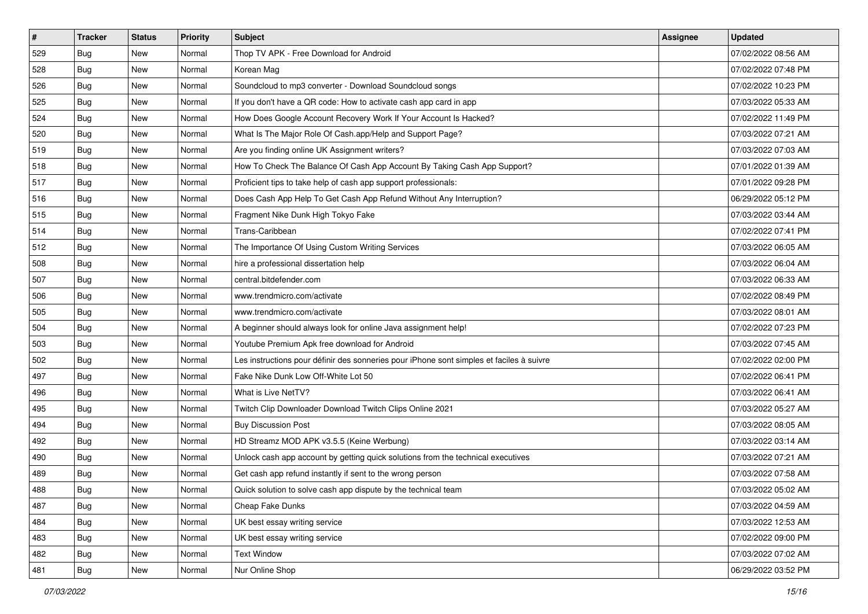| $\vert$ # | <b>Tracker</b> | <b>Status</b> | Priority | Subject                                                                                  | <b>Assignee</b> | <b>Updated</b>      |
|-----------|----------------|---------------|----------|------------------------------------------------------------------------------------------|-----------------|---------------------|
| 529       | <b>Bug</b>     | New           | Normal   | Thop TV APK - Free Download for Android                                                  |                 | 07/02/2022 08:56 AM |
| 528       | Bug            | New           | Normal   | Korean Mag                                                                               |                 | 07/02/2022 07:48 PM |
| 526       | Bug            | New           | Normal   | Soundcloud to mp3 converter - Download Soundcloud songs                                  |                 | 07/02/2022 10:23 PM |
| 525       | Bug            | New           | Normal   | If you don't have a QR code: How to activate cash app card in app                        |                 | 07/03/2022 05:33 AM |
| 524       | Bug            | New           | Normal   | How Does Google Account Recovery Work If Your Account Is Hacked?                         |                 | 07/02/2022 11:49 PM |
| 520       | Bug            | New           | Normal   | What Is The Major Role Of Cash.app/Help and Support Page?                                |                 | 07/03/2022 07:21 AM |
| 519       | Bug            | New           | Normal   | Are you finding online UK Assignment writers?                                            |                 | 07/03/2022 07:03 AM |
| 518       | <b>Bug</b>     | New           | Normal   | How To Check The Balance Of Cash App Account By Taking Cash App Support?                 |                 | 07/01/2022 01:39 AM |
| 517       | Bug            | New           | Normal   | Proficient tips to take help of cash app support professionals:                          |                 | 07/01/2022 09:28 PM |
| 516       | Bug            | New           | Normal   | Does Cash App Help To Get Cash App Refund Without Any Interruption?                      |                 | 06/29/2022 05:12 PM |
| 515       | Bug            | New           | Normal   | Fragment Nike Dunk High Tokyo Fake                                                       |                 | 07/03/2022 03:44 AM |
| 514       | Bug            | New           | Normal   | Trans-Caribbean                                                                          |                 | 07/02/2022 07:41 PM |
| 512       | Bug            | New           | Normal   | The Importance Of Using Custom Writing Services                                          |                 | 07/03/2022 06:05 AM |
| 508       | Bug            | New           | Normal   | hire a professional dissertation help                                                    |                 | 07/03/2022 06:04 AM |
| 507       | Bug            | New           | Normal   | central.bitdefender.com                                                                  |                 | 07/03/2022 06:33 AM |
| 506       | Bug            | New           | Normal   | www.trendmicro.com/activate                                                              |                 | 07/02/2022 08:49 PM |
| 505       | Bug            | New           | Normal   | www.trendmicro.com/activate                                                              |                 | 07/03/2022 08:01 AM |
| 504       | Bug            | New           | Normal   | A beginner should always look for online Java assignment help!                           |                 | 07/02/2022 07:23 PM |
| 503       | Bug            | New           | Normal   | Youtube Premium Apk free download for Android                                            |                 | 07/03/2022 07:45 AM |
| 502       | Bug            | New           | Normal   | Les instructions pour définir des sonneries pour iPhone sont simples et faciles à suivre |                 | 07/02/2022 02:00 PM |
| 497       | Bug            | New           | Normal   | Fake Nike Dunk Low Off-White Lot 50                                                      |                 | 07/02/2022 06:41 PM |
| 496       | Bug            | New           | Normal   | What is Live NetTV?                                                                      |                 | 07/03/2022 06:41 AM |
| 495       | Bug            | New           | Normal   | Twitch Clip Downloader Download Twitch Clips Online 2021                                 |                 | 07/03/2022 05:27 AM |
| 494       | <b>Bug</b>     | New           | Normal   | <b>Buy Discussion Post</b>                                                               |                 | 07/03/2022 08:05 AM |
| 492       | Bug            | New           | Normal   | HD Streamz MOD APK v3.5.5 (Keine Werbung)                                                |                 | 07/03/2022 03:14 AM |
| 490       | Bug            | New           | Normal   | Unlock cash app account by getting quick solutions from the technical executives         |                 | 07/03/2022 07:21 AM |
| 489       | <b>Bug</b>     | New           | Normal   | Get cash app refund instantly if sent to the wrong person                                |                 | 07/03/2022 07:58 AM |
| 488       | I Bug          | New           | Normal   | Quick solution to solve cash app dispute by the technical team                           |                 | 07/03/2022 05:02 AM |
| 487       | Bug            | New           | Normal   | Cheap Fake Dunks                                                                         |                 | 07/03/2022 04:59 AM |
| 484       | Bug            | New           | Normal   | UK best essay writing service                                                            |                 | 07/03/2022 12:53 AM |
| 483       | Bug            | New           | Normal   | UK best essay writing service                                                            |                 | 07/02/2022 09:00 PM |
| 482       | <b>Bug</b>     | New           | Normal   | <b>Text Window</b>                                                                       |                 | 07/03/2022 07:02 AM |
| 481       | <b>Bug</b>     | New           | Normal   | Nur Online Shop                                                                          |                 | 06/29/2022 03:52 PM |